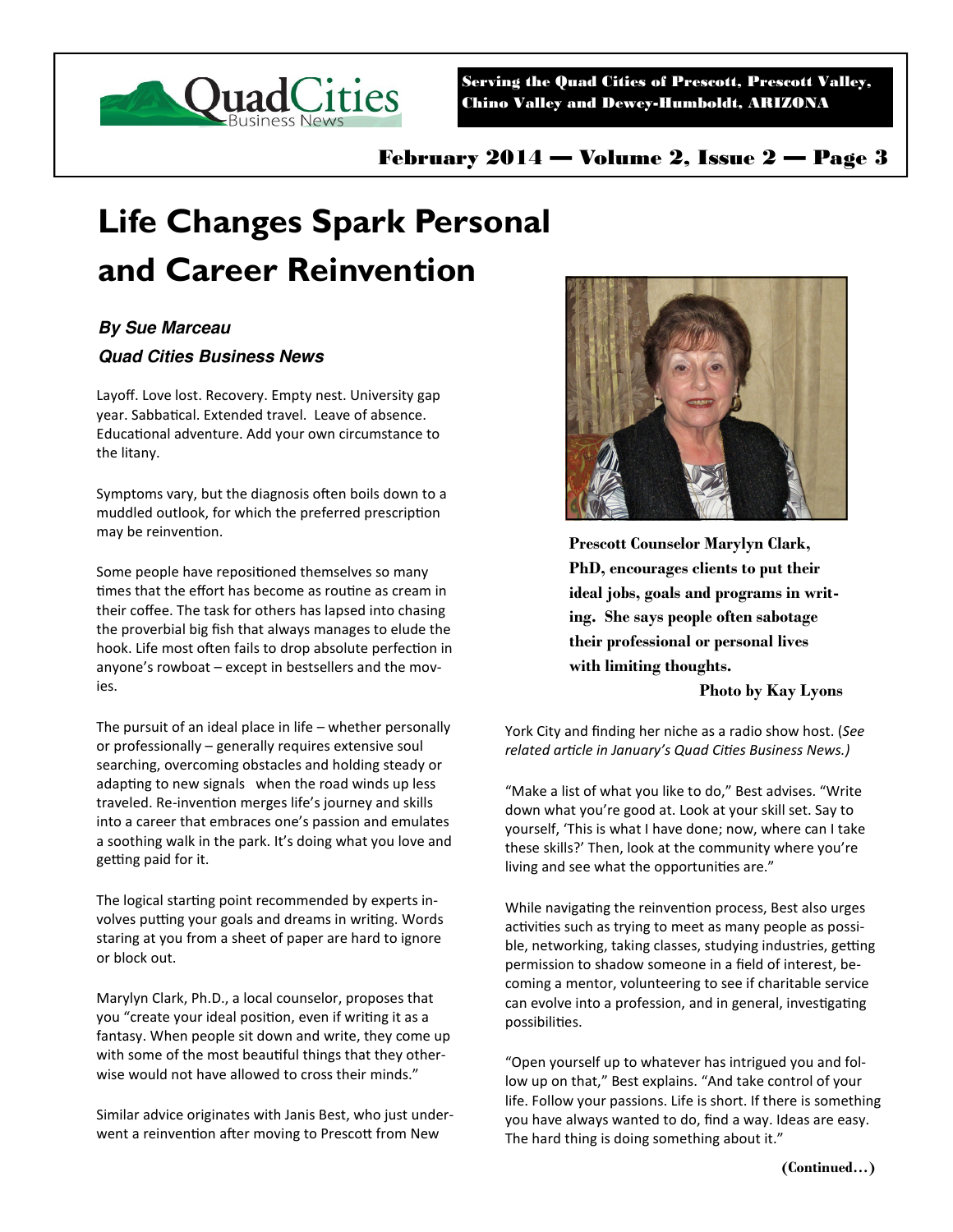

Serving the Quad Cities of Prescott, Prescott Valley, Chino Valley and Dewey-Humboldt, ARIZONA

February 2014 — Volume 2, Issue 2 — Page 3

## **Life Changes Spark Personal and Career Reinvention**

## **By Sue Marceau**

## **Quad Cities Business News**

Layoff. Love lost. Recovery. Empty nest. University gap year. Sabbatical. Extended travel. Leave of absence. Educational adventure. Add your own circumstance to the litany.

Symptoms vary, but the diagnosis often boils down to a muddled outlook, for which the preferred prescription may be reinvention.

Some people have repositioned themselves so many times that the effort has become as routine as cream in their coffee. The task for others has lapsed into chasing the proverbial big fish that always manages to elude the hook. Life most often fails to drop absolute perfection in anyone's rowboat – except in bestsellers and the movies.

The pursuit of an ideal place in life – whether personally or professionally – generally requires extensive soul searching, overcoming obstacles and holding steady or adapting to new signals when the road winds up less traveled. Re-invention merges life's journey and skills into a career that embraces one's passion and emulates a soothing walk in the park. It's doing what you love and getting paid for it.

The logical starting point recommended by experts involves putting your goals and dreams in writing. Words staring at you from a sheet of paper are hard to ignore or block out.

Marylyn Clark, Ph.D., a local counselor, proposes that you "create your ideal position, even if writing it as a fantasy. When people sit down and write, they come up with some of the most beautiful things that they otherwise would not have allowed to cross their minds."

Similar advice originates with Janis Best, who just underwent a reinvention after moving to Prescott from New



**Prescott Counselor Marylyn Clark, PhD, encourages clients to put their ideal jobs, goals and programs in writing. She says people often sabotage their professional or personal lives with limiting thoughts.** 

**Photo by Kay Lyons** 

York City and finding her niche as a radio show host. (*See*  related article in January's Quad Cities Business News.)

"Make a list of what you like to do," Best advises. "Write down what you're good at. Look at your skill set. Say to yourself, 'This is what I have done; now, where can I take these skills?' Then, look at the community where you're living and see what the opportunities are."

While navigating the reinvention process, Best also urges activities such as trying to meet as many people as possible, networking, taking classes, studying industries, getting permission to shadow someone in a field of interest, becoming a mentor, volunteering to see if charitable service can evolve into a profession, and in general, investigating possibilities.

"Open yourself up to whatever has intrigued you and follow up on that," Best explains. "And take control of your life. Follow your passions. Life is short. If there is something you have always wanted to do, find a way. Ideas are easy. The hard thing is doing something about it."